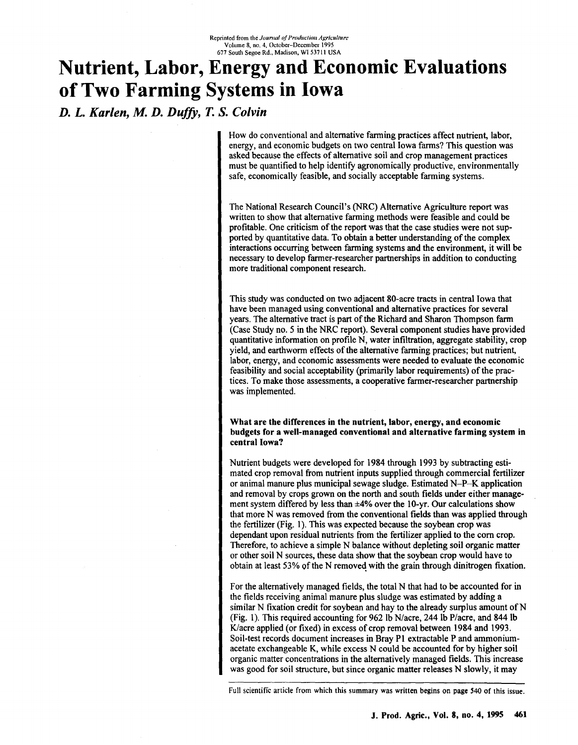# **Nutrient, Labor, Energy and Economic Evaluations of Two Farming Systems in Iowa**

*D. L. Karlen, M. D. Duffy,* T. *S. Colvin*

How do conventional and alternative farming practices affect nutrient, labor, energy, and economic budgets on two central Iowa farms? This question was asked because the effects of alternative soil and crop management practices must be quantified to help identify agronomically productive, environmentally safe, economically feasible, and socially acceptable farming systems.

The National Research Council's (NRC) Alternative Agriculture report was written to show that alternative farming methods were feasible and could be profitable. One criticism of the report was that the case studies were not supported by quantitative data. To obtain a better understanding of the complex interactions occurring between farming systems and the environment, it will be necessary to develop farmer-researcher partnerships in addition to conducting more traditional component research.

This study was conducted on two adjacent 80-acre tracts in central Iowa that have been managed using conventional and alternative practices for several years. The alternative tract is part of the Richard and Sharon Thompson farm (Case Study no. 5 in the NRC report). Several component studies have provided quantitative information on profile N, water infiltration, aggregate stability, crop yield, and earthworm effects of the alternative farming practices; but nutrient, labor, energy, and economic assessments were needed to evaluate the economic feasibility and social acceptability (primarily labor requirements) of the practices. To make those assessments, a cooperative farmer-researcher partnership was implemented.

## What are the differences in the nutrient, labor, energy, and economic budgets for a well-managed conventional and alternative farming system in central Iowa?

Nutrient budgets were developed for 1984 through 1993 by subtracting estimated crop removal from nutrient inputs supplied through commercial fertilizer or animal manure plus municipal sewage sludge. Estimated N-P-K application and removal by crops grown on the north and south fields under either management system differed by less than  $\pm 4\%$  over the 10-yr. Our calculations show that more N was removed from the conventional fields than was applied through the fertilizer (Fig. 1). This was expected because the soybean crop was dependant upon residual nutrients from the fertilizer applied to the corn crop. Therefore, to achieve a simple N balance without depleting soil organic matter or other soil N sources, these data show that the soybean crop would have to obtain at least 53% of the N removed with the grain through dinitrogen fixation.

For the alternatively managed fields, the total N that had to be accounted for in the fields receiving animal manure plus sludge was estimated by adding a similar N fixation credit for soybean and hay to the already surplus amount of N (Fig. 1). This required accounting for 962 Ib N/acre, 244 Ib P/acre, and 844 Ib K/acre applied (or fixed) in excess of crop removal between 1984 and 1993. Soil-test records document increases in Bray PI extractable P and ammoniumacetate exchangeable K, while excess N could be accounted for by higher soil organic matter concentrations in the alternatively managed fields. This increase was good for soil structure, but since organic matter releases N slowly, it may

Full scientific article from which this summary was written begins on page *S40* of this issue.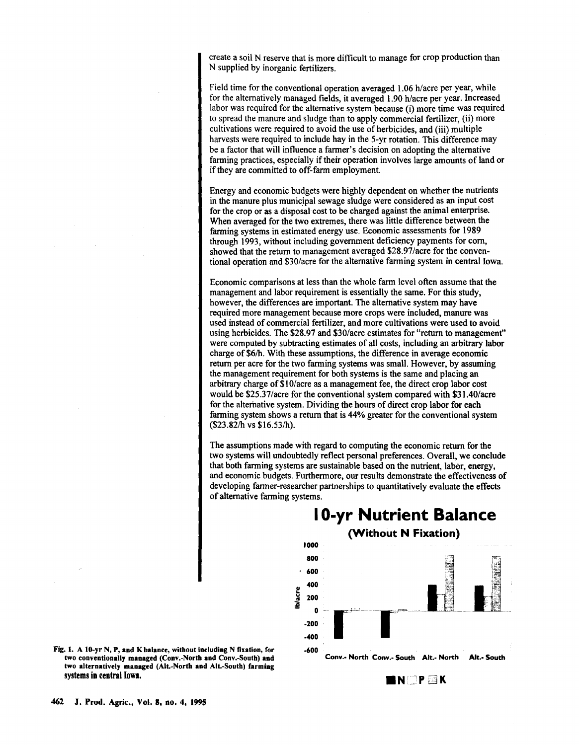create a soil N reserve that is more difficult to manage for crop production than N supplied by inorganic fertilizers.

Field time for the conventional operation averaged 1.06 h/acre per year, while for the alternatively managed fields, it averaged 1.90 h/acre per year. Increased labor was required for the alternative system because (i) more time was required to spread the manure and sludge than to apply commercial fertilizer, (ii) more cultivations were required to avoid the use of herbicides, and (iii) multiple harvests were required to include hay in the 5-yr rotation. This difference may be a factor that will influence a farmer's decision on adopting the alternative farming practices, especially if their operation involves large amounts of land or if they are committed to off-farm employment.

Energy and economic budgets were highly dependent on whether the nutrients in the manure plus municipal sewage sludge were considered as an input cost for the crop or as a disposal cost to be charged against the animal enterprise. When averaged for the two extremes, there was little difference between the farming systems in estimated energy use. Economic assessments for 1989 through 1993, without including government deficiency payments for com, showed that the return to management averaged \$28.97/acre for the conventional operation and \$30/acre for the alternative farming system in central Iowa.

Economic comparisons at less than the whole farm level often assume that the management and labor requirement is essentially the same. For this study, however, the differences are important. The alternative system may have required more management because more crops were included, manure was used instead of commercial fertilizer, and more cultivations were used to avoid using herbicides. The \$28.97 and \$30/acre estimates for "return to management" were computed by subtracting estimates of all costs, including an arbitrary labor charge of \$6/h. With these assumptions, the difference in average economic return per acre for the two farming systems was small. However, by assuming the management requirement for both systems is the same and placing an arbitrary charge of \$10/acre as a management fee, the direct crop labor cost would be \$25.3 7/acre for the conventional system compared with \$31.40/acre for the alternative system. Dividing the hours of direct crop labor for each farming system shows a return that is 44% greater for the conventional system (\$23.82/h vs \$16.53/h).

The assumptions made with regard to computing the economic return for the two systems will undoubtedly reflect personal preferences. Overall, we conclude that both farming systems are sustainable based on the nutrient, labor, energy, and economic budgets. Furthermore, our results demonstrate the effectiveness of developing farmer-researcher partnerships to quantitatively evaluate the effects of alternative farming systems.



Fig. 1. A lO-yr N, P, and Kbalance, witbout including N fixation, for two conventionally managed (Conv.-Nortb and Conv.-South) and two alternatively managed (Alt.-North and Alt.-South) farming systems in central Iowa.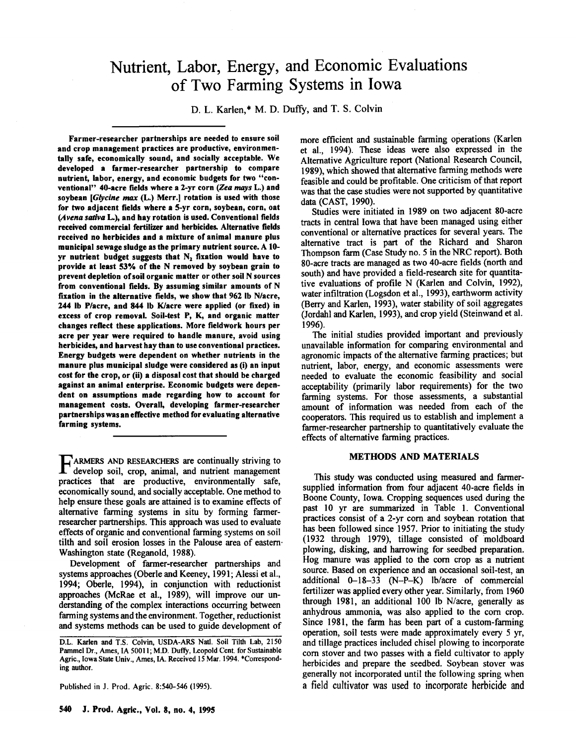# Nutrient, Labor, Energy, and Economic Evaluations of Two Farming Systems in Iowa

D. L. Karlen,\* M. D. Duffy, and T. S. Colvin

Farmer-researcher partnerships are needed to ensure soil and crop management practices are productive, environmentally safe, economically sound, and socially acceptable. We developed a farmer-researcher partnership to compare nutrient, labor, energy, and economic budgets for two "conventional" 40-acre fields where a 2-yr corn *(Zea mays* L.) and soybean *[Glycine max (L.)* Merr.] rotation is used with those for two adjacent fields where a 5-yr corn, soybean, corn, oat *(Avena sativa* L.), and hay rotation is used. Conventional fields received commercial fertilizer and herbicides. Alternative fields received no herbicides and a mixture of animal manure plus municipal sewage sludge as the primary nutrient source. A 10 yr nutrient budget suggests that  $N$ , fixation would have to provide at least 53% of the N removed by soybean grain to prevent depletion ofsoil organic matter or other soil N sources from conventional fields. By assuming similar amounts of N fixation in the alternative fields, we show that 962 Ib N/acre, 244 Ib Placre, and 844 Ib Klacre were applied (or fixed) in excess of crop removal. Soil-test P, K, and organic matter changes reflect these applications. More fieldwork hours per acre per year were required to handle manure, avoid using herbicides, and harvest hay than to use conventional practices. Energy budgets were dependent on whether nutrients in the manure plus municipal sludge were considered as (i) an input cost for the crop, or (ii) a disposal cost that should be charged against an animal enterprise. Economic budgets were dependent on assumptions made regarding how to account for management costs. Overall, developing farmer-researcher partnerships was an effective method for evaluating alternative farming systems.

FARMERS AND RESEARCHERS are continually striving to develop soil, crop, animal, and nutrient management develop soil, crop, animal, and nutrient managemer practices that are productive, environmentally safe, economically sound, and socially acceptable. One method to help ensure these goals are attained is to examine effects of alternative farming systems in situ by forming farmerresearcher partnerships. This approach was used to evaluate effects of organic and conventional farming systems on soil tilth and soil erosion losses in the Palouse area of eastern' Washington state (Reganold, 1988).

Development of farmer-researcher partnerships and systems approaches (Oberle and Keeney, 1991; Alessi et aI., 1994; Oberle, 1994), in conjunction with reductionist approaches (McRae et aI., 1989), will improve our understanding of the complex interactions occurring between farming systems and the environment. Together, reductionist and systems methods can be used to guide development of

Published in J. Prod. Agric. 8:540-546 (1995).

feasible and could be profitable. One criticism of that report was that the case studies were not supported by quantitative data (CAST, 1990). Studies were initiated in 1989 on two adjacent 80-acre tracts in central Iowa that have been managed using either conventional or alternative practices for several years. The

alternative tract is part of the Richard and Sharon Thompson farm (Case Study no. 5 in the NRC report). Both 80-acre tracts are managed as two 40-acre fields (north and south) and have provided a field-research site for quantitative evaluations of profile N (Karlen and Colvin, 1992), water infiltration (Logsdon et aI., 1993), earthworm activity (Berry and Karlen, 1993), water stability of soil aggregates (Jordahl and Karlen, 1993), and crop yield (Steinwand et ai. 1996).

more efficient and sustainable farming operations (Karlen et aI., 1994). These ideas were also expressed in the Alternative Agriculture report (National Research Council, 1989), which showed that alternative farming methods were

The initial studies provided important and previously unavailable information for comparing environmental and agronomic impacts of the alternative farming practices; but nutrient, labor, energy, and economic assessments were needed to evaluate the economic feasibility and social acceptability (primarily labor requirements) for the two farming systems. For those assessments, a substantial amount of information was needed from each of the cooperators. This required us to establish and implement a farmer-researcher partnership to quantitatively evaluate the effects of alternative farming practices.

#### METHODS AND MATERIALS

This study was conducted using measured and farmersupplied information from four adjacent 40-acre fields in Boone County, Iowa. Cropping sequences used during the past 10 yr are summarized in Table I. Conventional practices consist of a 2-yr com and soybean rotation that has been followed since 1957. Prior to initiating the study (1932 through 1979), tillage consisted of moldboard plowing, disking, and harrowing for seedbed preparation. Hog manure was applied to the com crop as a nutrient source. Based on experience and an occasional soil-test, an additional 0-18-33 (N-P-K) Ib/acre of commercial fertilizer was applied every other year. Similarly, from 1960 through 1981, an additional 100 Ib N/acre, generally as anhydrous ammonia, was also applied to the com crop. Since 1981, the farm has been part of a custom-farming operation, soil tests were made approximately every 5 yr, and tillage practices included chisel plowing to incorporate com stover and two passes with a field cultivator to apply herbicides and prepare the seedbed. Soybean stover was generally not incorporated until the foIlowing spring when a field cultivator was used to incorporate herbicide and

D.L. Karlen and T.S. Colvin, USDA-ARS Natl. Soil Tilth Lab, 2150 Pammel Dr., Ames, IA 50011; M.D. Duffy, Leopold Cent. for Sustainable Agric., Iowa State Univ., Ames, IA. Received 15 Mar. 1994. \*Corresponding author.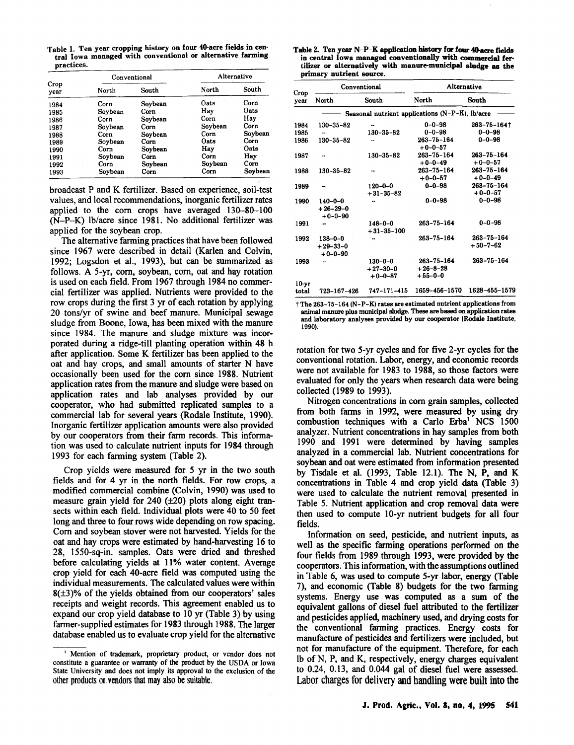Table 1. Ten year cropping history on four 40-acre fields in central Iowa managed with conventional or alternative farming practices.

| Crop<br>vear | Conventional |         | Alternative |         |  |
|--------------|--------------|---------|-------------|---------|--|
|              | North        | South   | North       | South   |  |
| 1984         | Corn         | Soybean | Oats        | Corn    |  |
| 1985         | Soybean      | Corn    | Hav         | Oats    |  |
| 1986         | Corn         | Soybean | Corn        | Hay     |  |
| 1987         | Soybean      | Corn    | Soybean     | Corn    |  |
| 1988         | Corn         | Soybean | Corn        | Soybean |  |
| 1989         | Soybean      | Corn    | Oats        | Corn    |  |
| 1990         | Corn         | Soybean | Hay         | Oats    |  |
| 1991         | Soybean      | Corn    | Corn        | Hay     |  |
| 1992         | Corn         | Soybean | Soybean     | Corn    |  |
| 1993         | Soybean      | Corn    | Corn        | Soybean |  |

broadcast P and K fertilizer. Based on experience, soil-test values, and local recommendations, inorganic fertilizer rates applied to the com crops have averaged 130-80-100 (N-P-K) Ib/acre since 1981. No additional fertilizer was applied for the soybean crop.

The alternative farming practices that have been followed since 1967 were described in detail (Karlen and Colvin, 1992; Logsdon et aI., 1993), but can be summarized. as follows. A 5-yr, corn, soybean, corn, oat and hay rotation is used on each field. From 1967 through 1984 no commercial fertilizer was applied. Nutrients were provided to the row crops during the first 3 yr of each rotation by applying 20 tons/yr of swine and beef manure. Municipal sewage sludge from Boone, Iowa, has been mixed with the manure since 1984. The manure and sludge mixture was incorporated during a ridge-till planting operation within 48 h after application. Some K fertilizer has been applied to the oat and hay crops, and small amounts of starter N have occasionally been used for the com since 1988. Nutrient application rates from the manure and sludge were based on application rates and lab analyses provided by our cooperator, who had submitted replicated samples to a commercial lab for several years (Rodale Institute, 1990). Inorganic fertilizer application amounts were also provided by our cooperators from their farm records. This information was used to calculate nutrient inputs for 1984 through 1993 for each farming system (Table 2).

Crop yields were measured for 5 yr in the two south fields and for 4 yr in the north fields. For row crops, a modified commercial combine (Colvin, 1990) was used to measure grain yield for  $240$  ( $\pm 20$ ) plots along eight transects within each field. Individual plots were 40 to 50 feet long and three to four rows wide depending on row spacing. Com and soybean stover were not harvested. Yields for the oat and hay crops were estimated by hand-harvesting 16 to 28, I 550-sq-in. samples. Oats were dried and threshed before calculating yields at 11% water content. Average crop yield for each 40-acre field was computed using the individual measurements. The calculated values were within  $8(\pm 3)\%$  of the yields obtained from our cooperators' sales receipts and weight records. This agreement enabled us to expand our crop yield database to 10 yr (Table 3) by using farmer-supplied estimates for 1983 through 1988. The larger database enabled us to evaluate crop yield for the alternative

Table 2. Ten year N-P-K application history for four 4O-acre fields in central Iowa managed conventionally with commercial fertilizer or alternatively with manure-municipal sludge as the primary nutrient source.

|                  |                                          | Conventional                             | Alternative                                     |                                    |  |  |
|------------------|------------------------------------------|------------------------------------------|-------------------------------------------------|------------------------------------|--|--|
| Crop<br>year     | North                                    | South                                    | North                                           | South                              |  |  |
|                  |                                          |                                          | Seasonal nutrient applications (N-P-K), lb/acre |                                    |  |  |
| 1984             | 130-35-82                                |                                          | $0 - 0 - 98$                                    | $263 - 75 - 164$                   |  |  |
| 1985             |                                          | 130-35-82                                | $0 - 0 - 98$                                    | $0 - 0 - 98$                       |  |  |
| 1986             | $130 - 35 - 82$                          |                                          | $263 - 75 - 164$<br>$+0-0-57$                   | $0 - 0 - 98$                       |  |  |
| 1987             | ۰.                                       | 130-35-82                                | $263 - 75 - 164$<br>$+0-0-49$                   | $263 - 75 - 164$<br>$+0-0-57$      |  |  |
| 1988             | $130 - 35 - 82$                          |                                          | 263-75-164<br>$+0-0-57$                         | $263 - 75 - 164$<br>$+0-0-49$      |  |  |
| 1989             |                                          | $120 - 0 - 0$<br>$+31-35-82$             | $0 - 0 - 98$                                    | 263-75-164<br>$+0 - 0 - 57$        |  |  |
| 1990             | $140 - 0 - 0$<br>$+26-29-0$<br>$+0-0-90$ |                                          | $0 - 0 - 98$                                    | $0 - 0 - 98$                       |  |  |
| 1991             |                                          | $148 - 0 - 0$<br>$+31 - 35 - 100$        | $263 - 75 - 164$                                | $0 - 0 - 98$                       |  |  |
| 1992             | $138 - 0 - 0$<br>$+29-33-0$<br>$+0-0-90$ |                                          | $263 - 75 - 164$                                | $263 - 75 - 164$<br>$+50 - 7 - 62$ |  |  |
| 1993             |                                          | $130 - 0 - 0$<br>$+27-30-0$<br>$+0-0-87$ | 263-75-164<br>$+26 - 8 - 28$<br>$+55-0-0$       | 263-75-164                         |  |  |
| $10-yr$<br>total | 723-167-426                              | $747 - 171 - 415$                        | 1659-456-1570                                   | 1628-455-1579                      |  |  |

 $t$  The 263-75-164 (N-P-K) rates are estimated nutrient applications from animal manure plus municipal sludge. These are based on application rates and laboratory analyses provided by our cooperator (Rodale Institute, 1990).

rotation for two 5-yr cycles and for five 2-yr cycles for the conventional rotation. Labor, energy, and economic records were not available for 1983 to 1988, so those factors were evaluated for only the years when research data were being collected (1989 to 1993).

Nitrogen concentrations in com grain samples, collected from both farms in 1992, were measured by using dry combustion techniques with a Carlo Erba<sup>l</sup> NCS 1500 analyzer. Nutrient concentrations in hay samples from both 1990 and 1991 were determined by having samples analyzed in a commercial lab. Nutrient concentrations for soybean and oat were estimated from information presented by Tisdale et ai. (1993, Table 12.1). The N, P, and K concentrations in Table 4 and crop yield data (Table 3) were used to calculate the nutrient removal presented in Table 5. Nutrient application and crop removal data were then used to compute lO-yr nutrient budgets for all four fields.

Information on seed, pesticide, and nutrient inputs, as well as the specific farming operations performed on the four fields from 1989 through 1993, were provided by the cooperators. This information, with the assumptions outlined in Table 6, was used to compute 5-yr labor, energy (Table 7), and economic (Table 8) budgets for the two farming systems. Energy use was computed as a sum of the equivalent gallons of diesel fuel attributed to the fertilizer and pesticides applied, machinery used, and drying costs for the conventional farming practices. Energy costs for manufacture of pesticides and fertilizers were included, but not for manufacture of the equipment. Therefore, for each Ib of N, P, and K, respectively, energy charges equivalent to 0.24, 0.13, and 0.044 gal of diesel fuel were assessed. Labor charges for delivery and handling were built into the

<sup>I</sup> Mention of trademark, proprietary product, or vendor does not constitute a guarantee or warranty of the product by the USDA or Iowa State University and does not imply its approval to the exclusion of the other products or. vendors that may also be suitable.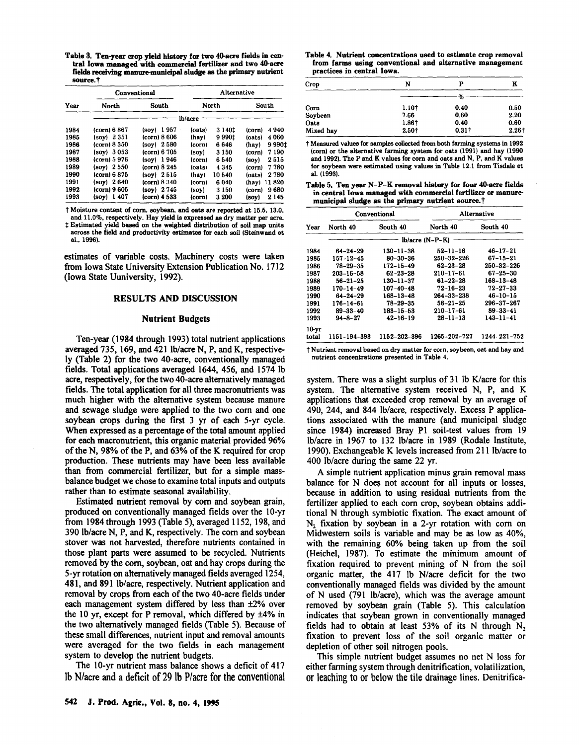Table 3. Ten-year crop yield history for two 40-acre fields in central lowa managed with commercial fertilizer and two 40-acre fields receiving manure-municipal sludge as the primary nutrient source.<sup>†</sup>

| Year |               | Conventional |        | Alternative |                |  |
|------|---------------|--------------|--------|-------------|----------------|--|
|      | North         | South        | North  |             | South          |  |
|      |               |              |        |             |                |  |
| 1984 | (corn) 6 867  | $(sov)$ 1957 | (oats) | 3 1 4 0 1   | 4940<br>(corn) |  |
| 1985 | (soy) 2351    | (corn) 8606  | (hay)  | 99901       | 4060<br>(oats) |  |
| 1986 | (corn) 8 350  | loor 2580    | (corn) | 6646        | 9990‡<br>(hay) |  |
| 1987 | (sov) 3053    | (corn) 6 705 | (sov)  | 3 1 5 0     | 7190<br>(corn) |  |
| 1988 | (corn) 5 976  | $(soy)$ 1946 | (corn) | 6540        | 2515<br>(sov)  |  |
| 1989 | (sov) 2550    | (corn) 8 245 | (oats) | 4 345       | 7780<br>(corn) |  |
| 1990 | (corn) 6 875  | $(sov)$ 2515 | (hav)  | 10540       | 2780<br>(oats) |  |
| 1991 | (sov) 2640    | (corn) 8 340 | (corn) | 6040        | 11820<br>(hay) |  |
| 1992 | (corn) 9 605  | (soy) 2745   | (sov)  | 3 1 5 0     | 9680<br>(corn) |  |
| 1993 | 1407<br>(sov) | (corn) 4 533 | (corn) | 3 200       | 2145<br>(soy)  |  |

t Moisture content of corn. soybean. and oats are reported at 15.5. 13.0. and 11.0%. respectively. Hay yield is expressed as dry matter per acre.

t Estimated yield based on the weighted distribution of soil map units across the field and productivity estimates for each soil (Steinwand et al.. 1996).

estimates of variable costs. Machinery costs were taken from Iowa State University Extension Publication No. 1712 (Iowa State Uuniversity, 1992).

#### RESULTS AND DISCUSSION

#### Nutrient Budgets

Ten-year (1984 through 1993) total nutrient applications averaged 735, 169, and 421 lb/acre N, P, and K, respectively (Table 2) for the two 40-acre, conventionally managed fields. Total applications averaged 1644, 456, and 1574 Ib acre, respectively, for the two 40-acre alternatively managed fields. The total application for all three macronutrients was much higher with the alternative system because manure and sewage sludge were applied to the two com and one soybean crops during the first 3 yr of each 5-yr cycle. When expressed as a percentage of the total amount applied for each macronutrient, this organic material provided 96% of the N, 98% of the P, and 63% of the K required for crop production. These nutrients may have been less available than from commercial fertilizer, but for a simple massbalance budget we chose to examine total inputs and outputs rather than to estimate seasonal availability.

Estimated nutrient removal by com and soybean grain, produced on conventionally managed fields over the 10-yr from 1984 through 1993 (Table 5), averaged 1152, 198, and 390 Ib/acre N, P, and K, respectively. The com and soybean stover was not harvested, therefore nutrients contained in those plant parts were assumed to be recycled. Nutrients removed by the com, soybean, oat and hay crops during the 5-yr rotation on alternatively managed fields averaged 1254, 481, and 891 Ib/acre, respectively. Nutrient application and removal by crops from each of the two 40-acre fields under each management system differed by less than  $\pm 2\%$  over the 10 yr, except for P removal, which differed by  $\pm 4\%$  in the two alternatively managed fields (Table 5). Because of these small differences, nutrient input and removal amounts were averaged for the two fields in each management system to develop the nutrient budgets.

The 10-yr nutrient mass balance shows a deficit of 417 Ib NJacre and a deficit of 29 lb P/acre for the conventional

#### Table 4. Nutrient concentrations used to estimate crop removal from farms using conventional and alternative management practices in central Iowa.

| Crop      | N     | p             | ĸ                 |
|-----------|-------|---------------|-------------------|
|           |       | %             |                   |
| Corn      | 1.10† | 0.40          | 0.50              |
| Soybean   | 7.66  | 0.60          | 2.20              |
| Oats      | 1.86+ | 0.40          | 0.60              |
| Mixed hay | 2.501 | $0.31\dagger$ | 2.26 <sup>†</sup> |

t Measured values for samples collected from both farming systems in 1992 (corn) or the alternative farming system for oats (1991) and hay (1990 and 1992). The P and K velues for corn and oats and N. P. and K values for soybean were estimated using values in Table 12.1 from Tisdale et al. (1993).

Table 5. Ten year N-P-K removal history for four 40-acre fields in central Iowa managed with commercial fertilizer or manuremunicipal sludge as the primary nutrient source.<sup>†</sup>

|         |                 | Conventional    | Alternative       |                  |  |
|---------|-----------------|-----------------|-------------------|------------------|--|
| Year    | North 40        | South 40        | North 40          | South 40         |  |
|         |                 |                 | $lb/acre (N-P-K)$ |                  |  |
| 1984    | $64 - 24 - 29$  | $130 - 11 - 38$ | $52 - 11 - 16$    | $46 - 17 - 21$   |  |
| 1985    | 157-12-45       | $80 - 30 - 36$  | 250-32-226        | $67 - 15 - 21$   |  |
| 1986    | 78-29-35        | $172 - 15 - 49$ | $62 - 23 - 28$    | 250-32-226       |  |
| 1987    | $203 - 16 - 58$ | $62 - 23 - 28$  | $210 - 17 - 61$   | $67 - 25 - 30$   |  |
| 1988    | $56 - 21 - 25$  | $130 - 11 - 37$ | $61 - 22 - 28$    | $168 - 13 - 48$  |  |
| 1989    | $170 - 14 - 49$ | $107 - 40 - 48$ | $72 - 16 - 23$    | 72-27-33         |  |
| 1990    | $64 - 24 - 29$  | $168 - 13 - 48$ | $264 - 33 - 238$  | $46 - 10 - 15$   |  |
| 1991    | $176 - 14 - 61$ | $78 - 29 - 35$  | $56 - 21 - 25$    | $296 - 37 - 267$ |  |
| 1992    | $89 - 33 - 40$  | $183 - 15 - 53$ | $210 - 17 - 61$   | $89 - 33 - 41$   |  |
| 1993    | $94 - 8 - 27$   | $42 - 16 - 19$  | $28 - 11 - 13$    | $143 - 11 - 41$  |  |
| $10-vr$ |                 |                 |                   |                  |  |
| total   | 1151-194-393    | 1152-202-396    | 1265-202-727      | 1244-221-752     |  |

t Nutrient removal based on dry matter for corn. soybean. oat and hay and nutrient concentrations presented in Table 4.

system. There was a slight surplus of 31 1b K/acre for this system. The alternative system received N, P, and K applications that exceeded crop removal by an average of 490, 244, and 844 Ib/acre, respectively. Excess P applications associated with the manure (and municipal sludge since 1984) increased Bray PI soil-test values from 19 Ib/acre in 1967 to 132 Ib/acre in 1989 (Rodale Institute, 1990). Exchangeable K levels increased from 211 lb/acre to 400 Ib/acre during the same 22 yr.

A simple nutrient application minus grain removal mass balance for N does not account for all inputs or losses, because in addition to using residual nutrients from the fertilizer applied to each com crop, soybean obtains additional N through symbiotic fixation. The exact amount of N<sub>2</sub> fixation by soybean in a 2-yr rotation with corn on Midwestern soils is variable and may be as low as 40%, with the remaining 60% being taken up from the soil (Heichel, 1987). To estimate the minimum amount of fixation required to prevent mining of N from the soil organic matter, the 417 Ib N/acre deficit for the two conventionally managed fields was divided by the amount of N used (791 Ib/acre), which was the average amount removed by soybean grain (Table 5). This calculation indicates that soybean grown in conventionally managed fields had to obtain at least  $53\%$  of its N through N<sub>2</sub> fixation to prevent loss of the soil organic matter or depletion of other soil nitrogen pools.

This simple nutrient budget assumes no net N loss for either farming system through denitrification, volatilization, or leaching to or below the tile drainage lines. Denitrifica-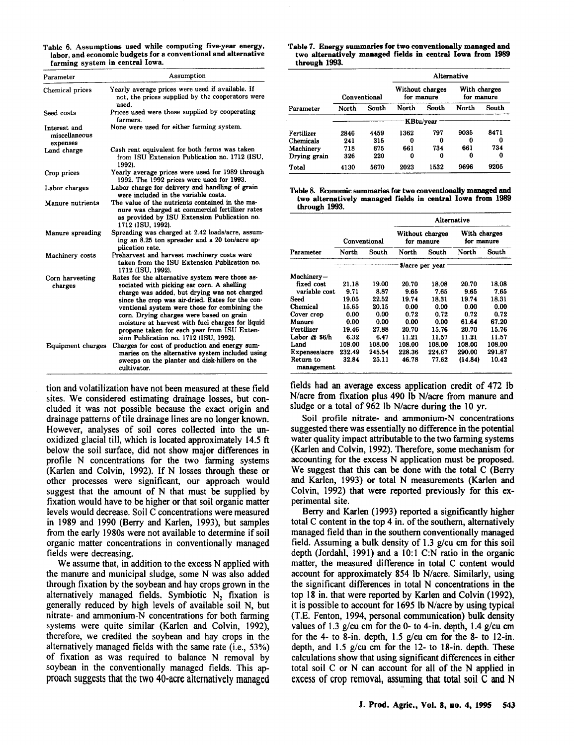Table 6. Assumptions used while computing five-year energy, labor, and economic budgets for a conventional and alternative farming system in central Iowa.

| Parameter                                 | Assumption                                                                                                                                                                                                                                                                                                                                                                                                                                  |  |  |  |  |
|-------------------------------------------|---------------------------------------------------------------------------------------------------------------------------------------------------------------------------------------------------------------------------------------------------------------------------------------------------------------------------------------------------------------------------------------------------------------------------------------------|--|--|--|--|
| Chemical prices                           | Yearly average prices were used if available. If<br>not, the prices supplied by the cooperators were<br>used.                                                                                                                                                                                                                                                                                                                               |  |  |  |  |
| Seed costs                                | Prices used were those supplied by cooperating<br>farmers.                                                                                                                                                                                                                                                                                                                                                                                  |  |  |  |  |
| Interest and<br>miscellaneous<br>expenses | None were used for either farming system.                                                                                                                                                                                                                                                                                                                                                                                                   |  |  |  |  |
| Land charge                               | Cash rent equivalent for both farms was taken<br>from ISU Extension Publication no. 1712 (ISU,<br>1992).                                                                                                                                                                                                                                                                                                                                    |  |  |  |  |
| Crop prices                               | Yearly average prices were used for 1989 through<br>1992. The 1992 prices were used for 1993.                                                                                                                                                                                                                                                                                                                                               |  |  |  |  |
| Labor charges                             | Labor charge for delivery and handling of grain<br>were included in the variable costs.                                                                                                                                                                                                                                                                                                                                                     |  |  |  |  |
| Manure nutrients                          | The value of the nutrients contained in the ma-<br>nure was charged at commercial fertilizer rates<br>as provided by ISU Extension Publication no.<br>1712 (ISU, 1992).                                                                                                                                                                                                                                                                     |  |  |  |  |
| Manure spreading                          | Spreading was charged at 2.42 loads/acre, assum-<br>ing an 8.25 ton spreader and a 20 ton/acre ap-<br>plication rate.                                                                                                                                                                                                                                                                                                                       |  |  |  |  |
| Machinery costs                           | Preharvest and harvest machinery costs were<br>taken from the ISU Extension Publication no.<br>1712 (ISU, 1992).                                                                                                                                                                                                                                                                                                                            |  |  |  |  |
| Corn harvesting<br>charges                | Rates for the alternative system were those as-<br>sociated with picking ear corn. A shelling<br>charge was added, but drying was not charged<br>since the crop was air-dried. Rates for the con-<br>ventional system were those for combining the<br>corn. Drying charges were based on grain<br>moisture at harvest with fuel charges for liquid<br>propane taken for each year from ISU Exten-<br>sion Publication no. 1712 (ISU, 1992). |  |  |  |  |
| Equipment charges                         | Charges for cost of production and energy sum-<br>maries on the alternative system included using<br>sweeps on the planter and disk-hillers on the<br>cultivator.                                                                                                                                                                                                                                                                           |  |  |  |  |

tion and volatilization have not been measured at these field sites. We considered estimating drainage losses, but concluded it was not possible because the exact origin and drainage patterns of tile drainage lines are no longer known. However, analyses of soil cores collected into the unoxidized glacial till, which is located approximately 14.5 ft below the soil surface, did not show major differences in profile N concentrations for the two farming systems (Karlen and Colvin, 1992). If N losses through these or other processes were significant, our approach would suggest that the amount of N that must be supplied by fixation would have to be higher or that soil organic matter levels would decrease. Soil C concentrations were measured in 1989 and 1990 (Berry and Karlen, 1993), but samples from the early 1980s were not available to determine if soil organic matter concentrations in conventionally managed fields were decreasing.

We assume that, in addition to the excess N applied with the manute and municipal sludge, some N was also added through fixation by the soybean and hay crops grown in the alternatively managed fields. Symbiotic  $N_2$  fixation is generally reduced by high levels of available soil N, but nitrate- and ammonium-N concentrations for both farming systems were quite similar (Karlen and Colvin, 1992), therefore, we credited the soybean and hay crops in the alternatively managed fields with the same rate (i.e., 53%) of fixation as was required to balance N removal by soybean in the conventionally managed fields. This approach suggests that the two 40-acre alternatively managed

#### Table 7. Energy summaries for two conventionally managed and two alternatively managed fields in central Iowa from 1989 through 1993.

|              |              |       | Alternative |                               |                            |       |  |
|--------------|--------------|-------|-------------|-------------------------------|----------------------------|-------|--|
|              | Conventional |       |             | Without charges<br>for manure | With charges<br>for manure |       |  |
| Parameter    | North        | South | North       | South                         | North                      | South |  |
|              | KBtu/year    |       |             |                               |                            |       |  |
| Fertilizer   | 2846         | 4459  | 1362        | 797                           | 9035                       | 8471  |  |
| Chemicals    | 241          | 315   | 0           | 0                             | Ω                          | O     |  |
| Machinery    | 718          | 675   | 661         | 734                           | 661                        | 734   |  |
| Drying grain | 326          | 220   | 0           | 0                             | 0                          | 0     |  |
| Total        | 4130         | 5670  | 2023        | 1532                          | 9696                       | 9205  |  |

| Table 8. Economic summaries for two conventionally managed and |  |  |  |  |
|----------------------------------------------------------------|--|--|--|--|
| two alternatively managed fields in central Iowa from 1989     |  |  |  |  |
| through 1993.                                                  |  |  |  |  |

|                         |              |        | <b>Alternative</b>            |        |                            |        |  |
|-------------------------|--------------|--------|-------------------------------|--------|----------------------------|--------|--|
|                         | Conventional |        | Without charges<br>for manure |        | With charges<br>for manure |        |  |
| Parameter               | North        | South  | North                         | South  | North                      | South  |  |
|                         |              |        | \$/acre per year              |        |                            |        |  |
| Machinery-              |              |        |                               |        |                            |        |  |
| fixed cost              | 21.18        | 19.00  | 20.70                         | 18.08  | 20.70                      | 18.08  |  |
| variable cost           | 9.71         | 8.87   | 9.65                          | 7.65   | 9.65                       | 7.65   |  |
| Seed                    | 19.05        | 22.52  | 19.74                         | 18.31  | 19.74                      | 18.31  |  |
| Chemical                | 15.65        | 20.15  | 0.00                          | 0.00   | 0.00                       | 0.00   |  |
| Cover crop              | 0.00         | 0.00   | 0.72                          | 0.72   | 0.72                       | 0.72   |  |
| Manure                  | 0.00         | 0.00   | 0.00                          | 0.00   | 61.64                      | 67.20  |  |
| Fertilizer              | 19.46        | 27.88  | 20.70                         | 15.76  | 20.70                      | 15.76  |  |
| Labor @ \$6/h           | 6.32         | 6.47   | 11.21                         | 11.57  | 11.21                      | 11.57  |  |
| Land                    | 108.00       | 108.00 | 108.00                        | 108.00 | 108.00                     | 108.00 |  |
| Expenses/acre           | 232.49       | 245.54 | 228.36                        | 224.67 | 290.00                     | 291.87 |  |
| Return to<br>management | 32.84        | 25.11  | 46.78                         | 77.62  | (14.84)                    | 10.42  |  |

fields had an average excess application credit of 472 Ib N/acre from fixation plus 490 Ib N/acre from manure and sludge or a total of 962 Ib N/acre during the 10 yr.

Soil profile nitrate- and ammonium-N concentrations suggested there was essentially no difference in the potential water quality impact attributable to the two farming systems (Karlen and Colvin, 1992). Therefore, some mechanism for accounting for the excess N application must be proposed. We suggest that this can be done with the total C (Berry and Karlen, 1993) or total N measurements (Karlen and Colvin, 1992) that were reported previously for this experimental site.

Berry and Karlen (1993) reported a significantly higher total C content in the top 4 in. of the southern, alternatively managed field than in the southern conventionally managed field. Assuming a bulk density of 1.3 g/cu cm for this soil depth (Jordahl, 1991) and a 10:1 C:N ratio in the organic matter, the measured difference in total C content would account for approximately 854 Ib N/acre. Similarly, using the significant differences in total N concentrations in the top 18 in. that were reported by Karlen and Colvin (1992), it is possible to account for 1695 Ib N/acre by using typical (T.E. Fenton, 1994, personal communication) bulk density values of 1.3 g/cu cm for the 0- to 4-in. depth, 1.4 g/cu cm for the 4- to 8-in. depth,  $1.5$  g/cu cm for the 8- to 12-in. depth, and 1.5 g/cu cm for the 12- to 18-in. depth. These calculations show that using significant differences in either total soil C or N can account for all of the N applied in excess of crop removal, assuming that total soil C and N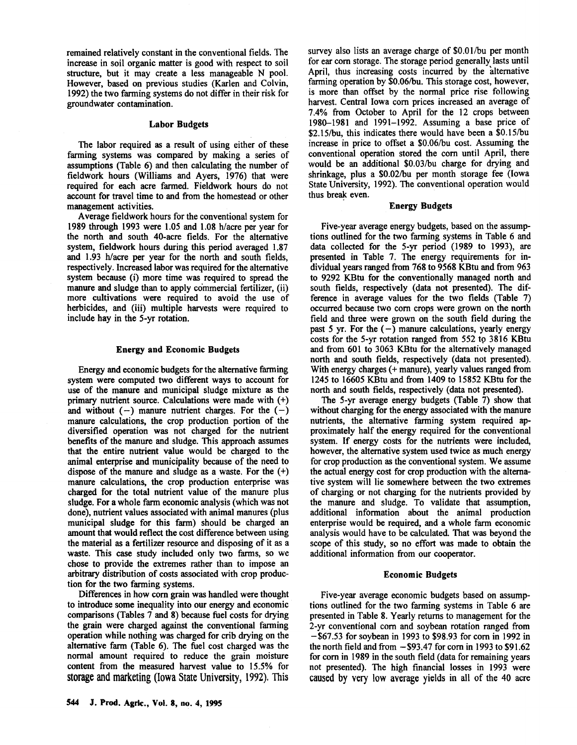remained relatively constant in the conventional fields. The increase in soil organic matter is good with respect to soil structure, but it may create a less manageable N pool. However, based on previous studies (Karlen and Colvin, 1992) the two farming systems do not differ in their risk for groundwater contamination.

#### Labor Budgets

The labor required as a result of using either of these farming systems was compared by making a series of assumptions (Table 6) and then calculating the number of fieldwork hours (Williams and Ayers, 1976) that were required for each acre farmed. Fieldwork hours do not account for travel time to and from the homestead or other management activities.

Average fieldwork hours for the conventional system for 1989 through 1993 were 1.05 and 1.08 h/acre per year for the north and south 40-acre fields. For the alternative system, fieldwork hours during this period averaged 1.87 and 1.93 h/acre per year for the north and south fields, respectively. Increased labor was required for the alternative system because (i) more time was required to spread the manure and sludge than to apply commercial fertilizer, (ii) more cultivations were required to avoid the use of herbicides, and (iii) multiple harvests were required to include hay in the 5-yr rotation.

#### Energy and Economic Budgets

Energy and economic budgets for the alternative farming system were computed two different ways to account for use of the manure and municipal sludge mixture as the primary nutrient source. Calculations were made with (+) and without  $(-)$  manure nutrient charges. For the  $(-)$ manure calculations, the crop production portion of the diversified operation was not charged for the nutrient benefits of the manure and sludge. This approach assumes that the entire nutrient value would be charged to the animal enterprise and municipality because of the need to dispose of the manure and sludge as a waste. For the  $(+)$ manure calculations, the crop production enterprise was charged for the total nutrient value of the manure plus sludge. For a whole farm economic analysis (which was not done), nutrient values associated with animal manures (plus municipal sludge for this farm) should be charged an amount that would reflect the cost difference between using the material as a fertilizer resource and disposing of it as a waste. This case study included only two farms, so we chose to provide the extremes rather than to impose an arbitrary distribution of costs associated with crop production for the two farming systems.

Differences in how com grain was handled were thought to introduce some inequality into our energy and economic comparisons (Tables 7 and 8) because fuel costs for drying the grain were charged against the conventional farming operation while nothing was charged for crib drying on the alternative farm (Table 6). The fuel cost charged was the normal amount required to reduce the grain moisture content from the measured harvest value to 15.5% for storage and marketing (Iowa State University, 1992). This

survey also lists an average charge of \$O.OI/bu per month for ear com storage. The storage period generally lasts until April, thus increasing costs incurred by the alternative farming operation by \$0.06/bu. This storage cost, however, is more than offset by the normal price rise following harvest. Central Iowa com prices increased an average of 7.4% from October to April for the 12 crops between 1980-1981 and 1991-1992. Assuming a base price of \$2.15/bu, this indicates there would have been a \$0.15/bu increase in price to offset a \$0.06/bu cost. Assuming the conventional operation stored the com until April, there would be an additional \$0.03/bu charge for drying and shrinkage, plus a \$0.02/bu per month storage fee (Iowa State University, 1992). The conventional operation would thus break even.

#### Energy Budgets

Five-year average energy budgets, based on the assumptions outlined for the two farming systems in Table 6 and data collected for the 5-yr period (1989 to 1993), are presented in Table 7. The energy requirements for individual years ranged from 768 to 9568 KBtu and from 963 to 9292 KBtu for the conventionally managed north and south fields, respectively (data not presented). The difference in average values for the two fields (Table 7) occurred because two com crops were grown on the north field and three were grown on the south field during the past 5 yr. For the  $(-)$  manure calculations, yearly energy costs for the 5-yr rotation ranged from 552 to 3816 KBtu and from 601 to 3063 KBtu for the alternatively managed north and south fields, respectively (data not presented). With energy charges (+ manure), yearly values ranged from 1245 to 16605 KBtu and from 1409 to 15852 KBtu for the north and south fields, respectively (data not presented).

The 5-yr average energy budgets (Table 7) show that without charging for the energy associated with the manure nutrients, the alternative farming system required approximately half the energy required for the conventional system. If energy costs for the nutrients were included, however, the alternative system used twice as much energy for crop production as the conventional system. We assume the actual energy cost for crop production with the alternative system will lie somewhere between the two extremes of charging or not charging for the nutrients provided by the manure and sludge. To validate that assumption, additional information about the animal production enterprise would be required, and a whole farm economic analysis would have to be calculated. That was beyond the scope of this study, so no effort was made to obtain the additional information from our cooperator.

#### Economic Budgets

Five-year average economic budgets based on assumptions outlined for the two farming systems in Table 6 are presented in Table 8. Yearly returns to management for the 2-yr conventional com and soybean rotation ranged from -\$67.53 for soybean in 1993 to \$98.93 for com in 1992 in the north field and from  $-$ \$93.47 for corn in 1993 to \$91.62 for com in 1989 in the south field (data for remaining years not presented). The high financial losses in 1993 were caused by very low average yields in all of the 40 acre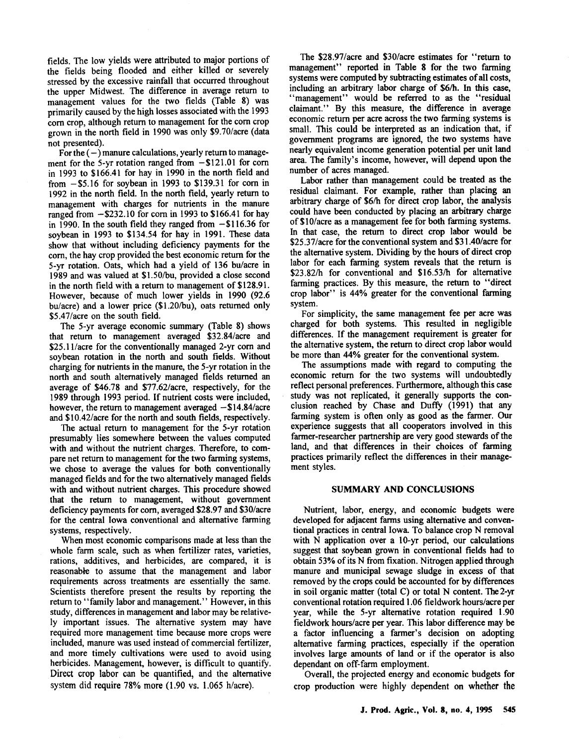fields. The low yields were attributed to major portions of the fields being flooded and either killed or severely stressed by the excessive rainfall that occurred throughout the upper Midwest. The difference in average return to management values for the two fields (Table 8) was primarily caused by the high losses associated with the 1993 com crop, although return to management for the com crop grown in the north field in 1990 was only \$9.70/acre (data not presented).

For the  $(-)$  manure calculations, yearly return to management for the 5-yr rotation ranged from  $-$ \$121.01 for corn in 1993 to \$166.41 for hay in 1990 in the north field and from  $-$ \$5.16 for soybean in 1993 to \$139.31 for corn in 1992 in the north field. In the north field, yearly return to management with charges for nutrients in the manure ranged from  $-$ \$232.10 for corn in 1993 to \$166.41 for hay in 1990. In the south field they ranged from  $-116.36$  for soybean in 1993 to \$134.54 for hay in 1991. These data show that without including deficiency payments for the corn, the hay crop provided the best economic return for the 5-yr rotation. Oats, which had a yield of 136 bu/acre in 1989 and was valued at \$1.50/bu, provided a close second in the north field with a return to management of \$128.91. However, because of much lower yields in 1990 (92.6 bu/acre) and a lower price (\$1.20/bu), oats returned only \$5.47/acre on the south field.

The 5-yr average economic summary (Table 8) shows that return to management averaged \$32.84/acre and \$25.11/acre for the conventionally managed 2-yr corn and soybean rotation in the north and south fields. Without charging for nutrients in the manure, the 5-yr rotation in the north and south alternatively managed fields returned an average of \$46.78 and \$77.62/acre, respectively, for the 1989 through 1993 period. If nutrient costs were included, however, the return to management averaged  $-\$14.84/acre$ and \$10.42/acre for the north and south fields, respectively.

The actual return to management for the 5-yr rotation presumably lies somewhere between the values computed with and without the nutrient charges. Therefore, to compare net return to management for the two farming systems, we chose to average the values for both conventionally managed fields and for the two alternatively managed fields with and without nutrient charges. This procedure showed that the return to management, without government deficiency payments for com, averaged \$28.97 and \$30/acre for the central Iowa conventional and alternative farming systems, respectively.

When most economic comparisons made at less than the whole farm scale, such as when fertilizer rates, varieties, rations, additives, and herbicides, are compared, it is reasonabte to assume that the management and labor requirements across treatments are essentially the same. Scientists therefore present the results by reporting the return to "family labor and management." However, in this study, differences in management and labor may be relatively important issues. The alternative system may have required more management time because more crops were included, manure was used instead of commercial fertilizer and more timely cultivations were used to avoid using herbicides. Management, however, is difficult to quantify. Direct crop labor can be quantified, and the alternative system did require 78% more (1.90 vs. 1.065 h/acre).

The \$28.97/acre and \$30/acre estimates for "return to management" reported in Table 8 for the two farming systems were computed by subtracting estimates of all costs, including an arbitrary labor charge of \$6/h. In this case, "management" would be referred to as the "residual" claimant." By this measure, the difference in average economic return per acre across the two farming systems is small. This could be interpreted as an indication that, if government programs are ignored, the two systems have nearly equivalent income generation potential per unit land area. The family's income, however, will depend upon the number of acres managed.

Labor rather than management could be treated as the residual claimant. For example, rather than placing an arbitrary charge of \$6/h for direct crop labor, the analysis could have been conducted by placing an arbitrary charge of \$1O/acre as a management fee for both farming systems. In that case, the return to direct crop labor would be \$25.37/acre for the conventional system and \$31.40/acre for the alternative system. Dividing by the hours of direct crop labor for each farming system reveals that the return is \$23.82/h for conventional and \$16.53/h for alternative farming practices. By this measure, the return to "direct crop labor" is 44% greater for the conventional farming system.

For simplicity, the same management fee per acre was charged for both systems. This resulted in negligible differences. If the management requirement is greater for the alternative system, the return to direct crop labor would be more than 44% greater for the conventional system.

The assumptions made with regard to computing the economic return for the two systems will undoubtedly reflect personal preferences. Furthermore, although this case study was not replicated, it generally supports the conclusion reached by Chase and Duffy (1991) that any farming system is often only as good as the farmer. Our experience suggests that all cooperators involved in this farmer-researcher partnership are very good stewards of the land, and that differences in their choices of farming practices primarily reflect the differences in their management styles.

### SUMMARY AND CONCLUSIONS

Nutrient, labor, energy, and economic budgets were developed for adjacent farms using alternative and conventional practices in central Iowa. To balance crop N removal with N application over a 10-yr period, our calculations suggest that soybean grown in conventional fields had to obtain 53% of its N from fixation. Nitrogen applied through manure and municipal sewage sludge in excess of that removed by the crops could be accounted for by differences in soil organic matter (total C) or total N content. The2-yr conventional rotation required 1.06 fieldwork hours/acre per year, while the 5-yr alternative rotation required 1.90 fieldwork hours/acre per year. This labor difference may be a factor influencing a farmer's decision on adopting alternative farming practices, especially if the operation involves large amounts of land or if the operator is also dependant on off-farm employment.

Overall, the projected energy and economic budgets for crop production were highly dependent on whether the